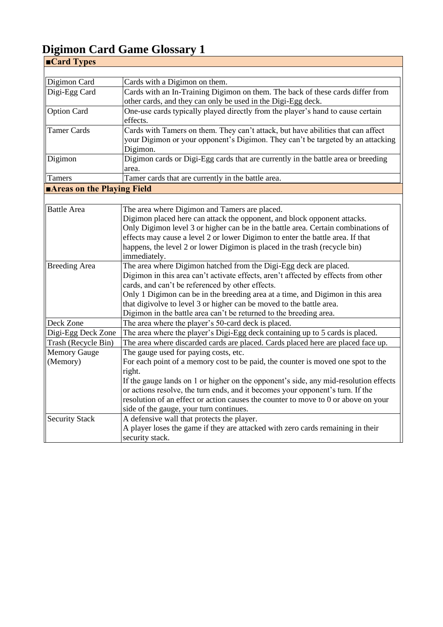| ■Card Types                |                                                                                             |
|----------------------------|---------------------------------------------------------------------------------------------|
|                            |                                                                                             |
| Digimon Card               | Cards with a Digimon on them.                                                               |
| Digi-Egg Card              | Cards with an In-Training Digimon on them. The back of these cards differ from              |
|                            | other cards, and they can only be used in the Digi-Egg deck.                                |
| <b>Option Card</b>         | One-use cards typically played directly from the player's hand to cause certain<br>effects. |
| <b>Tamer Cards</b>         | Cards with Tamers on them. They can't attack, but have abilities that can affect            |
|                            | your Digimon or your opponent's Digimon. They can't be targeted by an attacking             |
|                            | Digimon.                                                                                    |
| Digimon                    | Digimon cards or Digi-Egg cards that are currently in the battle area or breeding           |
|                            | area.                                                                                       |
| Tamers                     | Tamer cards that are currently in the battle area.                                          |
| Areas on the Playing Field |                                                                                             |
|                            |                                                                                             |
| <b>Battle Area</b>         | The area where Digimon and Tamers are placed.                                               |
|                            | Digimon placed here can attack the opponent, and block opponent attacks.                    |
|                            | Only Digimon level 3 or higher can be in the battle area. Certain combinations of           |
|                            | effects may cause a level 2 or lower Digimon to enter the battle area. If that              |
|                            | happens, the level 2 or lower Digimon is placed in the trash (recycle bin)                  |
|                            | immediately.                                                                                |
| <b>Breeding Area</b>       | The area where Digimon hatched from the Digi-Egg deck are placed.                           |
|                            | Digimon in this area can't activate effects, aren't affected by effects from other          |
|                            | cards, and can't be referenced by other effects.                                            |
|                            | Only 1 Digimon can be in the breeding area at a time, and Digimon in this area              |
|                            | that digivolve to level 3 or higher can be moved to the battle area.                        |
|                            | Digimon in the battle area can't be returned to the breeding area.                          |
| Deck Zone                  | The area where the player's 50-card deck is placed.                                         |
| Digi-Egg Deck Zone         | The area where the player's Digi-Egg deck containing up to 5 cards is placed.               |
| Trash (Recycle Bin)        | The area where discarded cards are placed. Cards placed here are placed face up.            |
| <b>Memory Gauge</b>        | The gauge used for paying costs, etc.                                                       |
| (Memory)                   | For each point of a memory cost to be paid, the counter is moved one spot to the            |
|                            | right.                                                                                      |
|                            | If the gauge lands on 1 or higher on the opponent's side, any mid-resolution effects        |
|                            | or actions resolve, the turn ends, and it becomes your opponent's turn. If the              |
|                            | resolution of an effect or action causes the counter to move to 0 or above on your          |
|                            | side of the gauge, your turn continues.                                                     |
| <b>Security Stack</b>      | A defensive wall that protects the player.                                                  |
|                            | A player loses the game if they are attacked with zero cards remaining in their             |
|                            | security stack.                                                                             |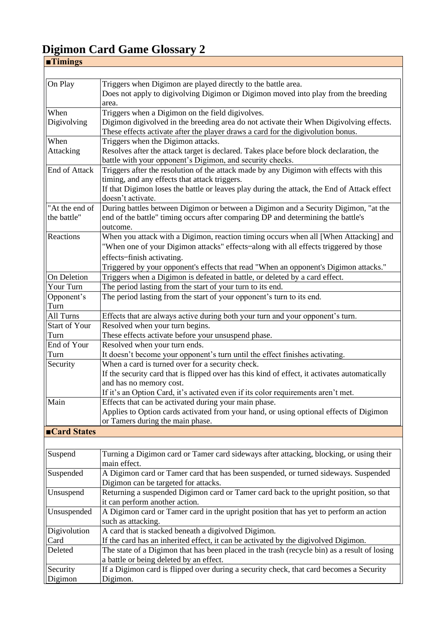| $\blacksquare$ Timings |                                                                                               |  |
|------------------------|-----------------------------------------------------------------------------------------------|--|
|                        |                                                                                               |  |
| On Play                | Triggers when Digimon are played directly to the battle area.                                 |  |
|                        | Does not apply to digivolving Digimon or Digimon moved into play from the breeding            |  |
|                        | area.                                                                                         |  |
| When                   | Triggers when a Digimon on the field digivolves.                                              |  |
| Digivolving            | Digimon digivolved in the breeding area do not activate their When Digivolving effects.       |  |
|                        | These effects activate after the player draws a card for the digivolution bonus.              |  |
| When                   | Triggers when the Digimon attacks.                                                            |  |
| Attacking              | Resolves after the attack target is declared. Takes place before block declaration, the       |  |
|                        | battle with your opponent's Digimon, and security checks.                                     |  |
| End of Attack          | Triggers after the resolution of the attack made by any Digimon with effects with this        |  |
|                        | timing, and any effects that attack triggers.                                                 |  |
|                        | If that Digimon loses the battle or leaves play during the attack, the End of Attack effect   |  |
|                        | doesn't activate.                                                                             |  |
| "At the end of         | During battles between Digimon or between a Digimon and a Security Digimon, "at the           |  |
| the battle"            | end of the battle" timing occurs after comparing DP and determining the battle's              |  |
|                        | outcome.                                                                                      |  |
| Reactions              | When you attack with a Digimon, reaction timing occurs when all [When Attacking] and          |  |
|                        | "When one of your Digimon attacks" effects-along with all effects triggered by those          |  |
|                        | effects-finish activating.                                                                    |  |
|                        | Triggered by your opponent's effects that read "When an opponent's Digimon attacks."          |  |
| On Deletion            | Triggers when a Digimon is defeated in battle, or deleted by a card effect.                   |  |
| Your Turn              | The period lasting from the start of your turn to its end.                                    |  |
| Opponent's             | The period lasting from the start of your opponent's turn to its end.                         |  |
| Turn                   |                                                                                               |  |
| All Turns              | Effects that are always active during both your turn and your opponent's turn.                |  |
| <b>Start of Your</b>   | Resolved when your turn begins.                                                               |  |
| Turn                   | These effects activate before your unsuspend phase.                                           |  |
| End of Your            | Resolved when your turn ends.                                                                 |  |
| Turn                   | It doesn't become your opponent's turn until the effect finishes activating.                  |  |
| Security               | When a card is turned over for a security check.                                              |  |
|                        | If the security card that is flipped over has this kind of effect, it activates automatically |  |
|                        | and has no memory cost.                                                                       |  |
|                        | If it's an Option Card, it's activated even if its color requirements aren't met.             |  |
| Main                   | Effects that can be activated during your main phase.                                         |  |
|                        | Applies to Option cards activated from your hand, or using optional effects of Digimon        |  |
|                        | or Tamers during the main phase.                                                              |  |
| ■Card States           |                                                                                               |  |
|                        |                                                                                               |  |
| Suspend                | Turning a Digimon card or Tamer card sideways after attacking, blocking, or using their       |  |
|                        | main effect.                                                                                  |  |
| Suspended              | A Digimon card or Tamer card that has been suspended, or turned sideways. Suspended           |  |
|                        | Digimon can be targeted for attacks.                                                          |  |
| Unsuspend              | Returning a suspended Digimon card or Tamer card back to the upright position, so that        |  |
|                        | it can perform another action.                                                                |  |
| Unsuspended            | A Digimon card or Tamer card in the upright position that has yet to perform an action        |  |
|                        | such as attacking.                                                                            |  |
| Digivolution           | A card that is stacked beneath a digivolved Digimon.                                          |  |
| Card                   | If the card has an inherited effect, it can be activated by the digivolved Digimon.           |  |
| Deleted                | The state of a Digimon that has been placed in the trash (recycle bin) as a result of losing  |  |
|                        | a battle or being deleted by an effect.                                                       |  |
|                        | If a Digimon card is flipped over during a security check, that card becomes a Security       |  |
| Security<br>Digimon    | Digimon.                                                                                      |  |
|                        |                                                                                               |  |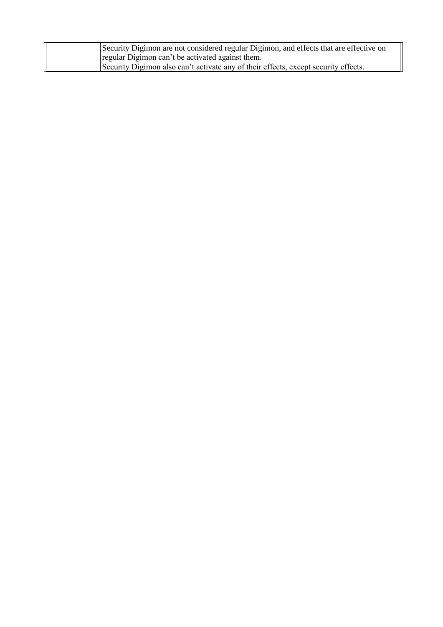| Security Digimon are not considered regular Digimon, and effects that are effective on |
|----------------------------------------------------------------------------------------|
| regular Digimon can't be activated against them.                                       |
| Security Digimon also can't activate any of their effects, except security effects.    |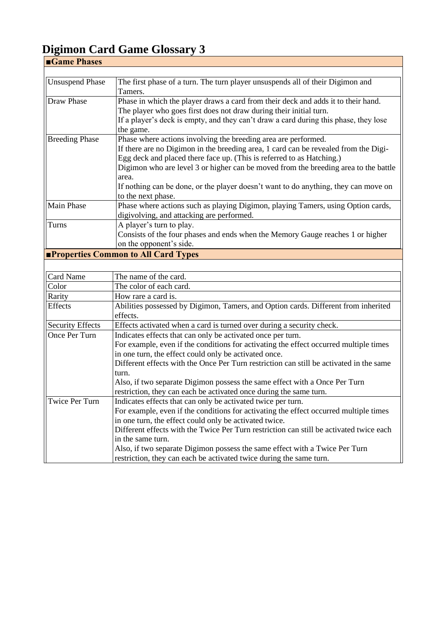| Game Phases                                |                                                                                      |  |
|--------------------------------------------|--------------------------------------------------------------------------------------|--|
|                                            |                                                                                      |  |
| <b>Unsuspend Phase</b>                     | The first phase of a turn. The turn player unsuspends all of their Digimon and       |  |
|                                            | Tamers.                                                                              |  |
| Draw Phase                                 | Phase in which the player draws a card from their deck and adds it to their hand.    |  |
|                                            | The player who goes first does not draw during their initial turn.                   |  |
|                                            | If a player's deck is empty, and they can't draw a card during this phase, they lose |  |
|                                            | the game.                                                                            |  |
| <b>Breeding Phase</b>                      | Phase where actions involving the breeding area are performed.                       |  |
|                                            | If there are no Digimon in the breeding area, 1 card can be revealed from the Digi-  |  |
|                                            | Egg deck and placed there face up. (This is referred to as Hatching.)                |  |
|                                            | Digimon who are level 3 or higher can be moved from the breeding area to the battle  |  |
|                                            | area.                                                                                |  |
|                                            | If nothing can be done, or the player doesn't want to do anything, they can move on  |  |
|                                            | to the next phase.                                                                   |  |
| <b>Main Phase</b>                          | Phase where actions such as playing Digimon, playing Tamers, using Option cards,     |  |
|                                            | digivolving, and attacking are performed.                                            |  |
| Turns                                      | A player's turn to play.                                                             |  |
|                                            | Consists of the four phases and ends when the Memory Gauge reaches 1 or higher       |  |
|                                            | on the opponent's side.                                                              |  |
| <b>Properties Common to All Card Types</b> |                                                                                      |  |

#### Card Name The name of the card. Color The color of each card. Rarity How rare a card is. Effects Abilities possessed by Digimon, Tamers, and Option cards. Different from inherited effects. Security Effects Effects activated when a card is turned over during a security check. Once Per Turn Indicates effects that can only be activated once per turn. For example, even if the conditions for activating the effect occurred multiple times in one turn, the effect could only be activated once. Different effects with the Once Per Turn restriction can still be activated in the same turn. Also, if two separate Digimon possess the same effect with a Once Per Turn restriction, they can each be activated once during the same turn. Twice Per Turn | Indicates effects that can only be activated twice per turn. For example, even if the conditions for activating the effect occurred multiple times in one turn, the effect could only be activated twice. Different effects with the Twice Per Turn restriction can still be activated twice each in the same turn. Also, if two separate Digimon possess the same effect with a Twice Per Turn restriction, they can each be activated twice during the same turn.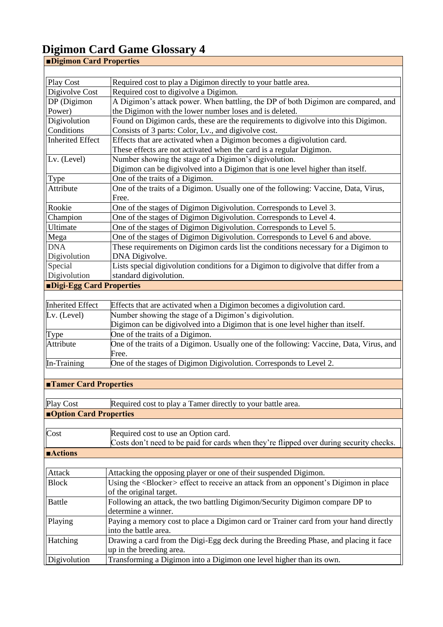| <b>Digimon Card Properties</b>        |                                                                                                  |  |
|---------------------------------------|--------------------------------------------------------------------------------------------------|--|
|                                       |                                                                                                  |  |
| Play Cost                             | Required cost to play a Digimon directly to your battle area.                                    |  |
| Digivolve Cost                        | Required cost to digivolve a Digimon.                                                            |  |
| DP (Digimon                           | A Digimon's attack power. When battling, the DP of both Digimon are compared, and                |  |
| Power)                                | the Digimon with the lower number loses and is deleted.                                          |  |
| Digivolution                          | Found on Digimon cards, these are the requirements to digivolve into this Digimon.               |  |
| Conditions                            | Consists of 3 parts: Color, Lv., and digivolve cost.                                             |  |
| <b>Inherited Effect</b>               | Effects that are activated when a Digimon becomes a digivolution card.                           |  |
|                                       | These effects are not activated when the card is a regular Digimon.                              |  |
| Lv. (Level)                           | Number showing the stage of a Digimon's digivolution.                                            |  |
|                                       | Digimon can be digivolved into a Digimon that is one level higher than itself.                   |  |
| Type                                  | One of the traits of a Digimon.                                                                  |  |
| Attribute                             | One of the traits of a Digimon. Usually one of the following: Vaccine, Data, Virus,<br>Free.     |  |
| Rookie                                | One of the stages of Digimon Digivolution. Corresponds to Level 3.                               |  |
| Champion                              | One of the stages of Digimon Digivolution. Corresponds to Level 4.                               |  |
| Ultimate                              | One of the stages of Digimon Digivolution. Corresponds to Level 5.                               |  |
| Mega                                  | One of the stages of Digimon Digivolution. Corresponds to Level 6 and above.                     |  |
| <b>DNA</b>                            | These requirements on Digimon cards list the conditions necessary for a Digimon to               |  |
| Digivolution                          | DNA Digivolve.                                                                                   |  |
| Special                               | Lists special digivolution conditions for a Digimon to digivolve that differ from a              |  |
| Digivolution                          | standard digivolution.                                                                           |  |
| Digi-Egg Card Properties              |                                                                                                  |  |
|                                       |                                                                                                  |  |
| <b>Inherited Effect</b>               | Effects that are activated when a Digimon becomes a digivolution card.                           |  |
| Lv. (Level)                           | Number showing the stage of a Digimon's digivolution.                                            |  |
|                                       | Digimon can be digivolved into a Digimon that is one level higher than itself.                   |  |
| Type                                  | One of the traits of a Digimon.                                                                  |  |
| Attribute                             | One of the traits of a Digimon. Usually one of the following: Vaccine, Data, Virus, and<br>Free. |  |
| In-Training                           | One of the stages of Digimon Digivolution. Corresponds to Level 2.                               |  |
|                                       |                                                                                                  |  |
| <b>Tamer Card Properties</b>          |                                                                                                  |  |
|                                       |                                                                                                  |  |
| Play Cost                             | Required cost to play a Tamer directly to your battle area.                                      |  |
| <b><u>■Option Card Properties</u></b> |                                                                                                  |  |
|                                       |                                                                                                  |  |
| Cost                                  | Required cost to use an Option card.                                                             |  |
|                                       | Costs don't need to be paid for cards when they're flipped over during security checks.          |  |
| <b>Actions</b>                        |                                                                                                  |  |
|                                       |                                                                                                  |  |
| Attack                                | Attacking the opposing player or one of their suspended Digimon.                                 |  |
| <b>Block</b>                          | Using the <blocker> effect to receive an attack from an opponent's Digimon in place</blocker>    |  |
|                                       | of the original target.                                                                          |  |
| <b>Battle</b>                         | Following an attack, the two battling Digimon/Security Digimon compare DP to                     |  |
|                                       | determine a winner.                                                                              |  |
| Playing                               | Paying a memory cost to place a Digimon card or Trainer card from your hand directly             |  |
|                                       | into the battle area.                                                                            |  |
| Hatching                              | Drawing a card from the Digi-Egg deck during the Breeding Phase, and placing it face             |  |
|                                       | up in the breeding area.                                                                         |  |
| Digivolution                          | Transforming a Digimon into a Digimon one level higher than its own.                             |  |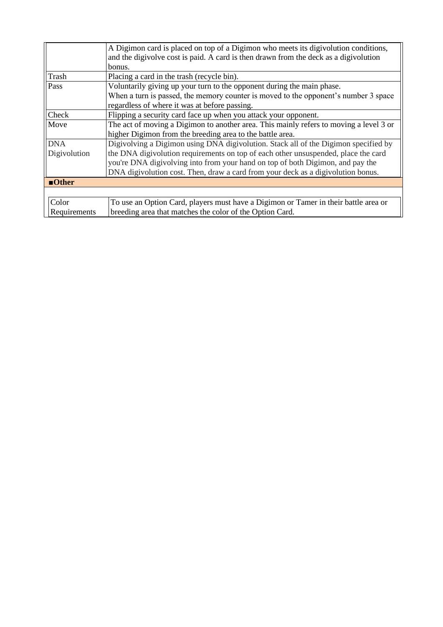|                                               | A Digimon card is placed on top of a Digimon who meets its digivolution conditions,    |
|-----------------------------------------------|----------------------------------------------------------------------------------------|
|                                               | and the digivolve cost is paid. A card is then drawn from the deck as a digivolution   |
|                                               | bonus.                                                                                 |
| <b>Trash</b>                                  | Placing a card in the trash (recycle bin).                                             |
| Pass                                          | Voluntarily giving up your turn to the opponent during the main phase.                 |
|                                               | When a turn is passed, the memory counter is moved to the opponent's number 3 space    |
| regardless of where it was at before passing. |                                                                                        |
| Check                                         | Flipping a security card face up when you attack your opponent.                        |
| Move                                          | The act of moving a Digimon to another area. This mainly refers to moving a level 3 or |
|                                               | higher Digimon from the breeding area to the battle area.                              |
| <b>DNA</b>                                    | Digivolving a Digimon using DNA digivolution. Stack all of the Digimon specified by    |
| Digivolution                                  | the DNA digivolution requirements on top of each other unsuspended, place the card     |
|                                               | you're DNA digivolving into from your hand on top of both Digimon, and pay the         |
|                                               | DNA digivolution cost. Then, draw a card from your deck as a digivolution bonus.       |
| $\blacksquare$ Other                          |                                                                                        |
|                                               |                                                                                        |
| Color                                         | To use an Option Card, players must have a Digimon or Tamer in their battle area or    |
| Requirements                                  | breeding area that matches the color of the Option Card.                               |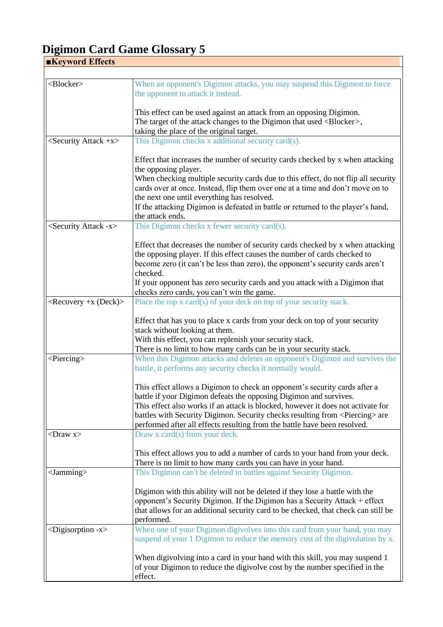| <b>Keyword Effects</b>       |                                                                                                                                                                                                                                               |  |
|------------------------------|-----------------------------------------------------------------------------------------------------------------------------------------------------------------------------------------------------------------------------------------------|--|
|                              |                                                                                                                                                                                                                                               |  |
| <blocker></blocker>          | When an opponent's Digimon attacks, you may suspend this Digimon to force<br>the opponent to attack it instead.                                                                                                                               |  |
|                              | This effect can be used against an attack from an opposing Digimon.                                                                                                                                                                           |  |
|                              | The target of the attack changes to the Digimon that used <blocker>,</blocker>                                                                                                                                                                |  |
|                              | taking the place of the original target.                                                                                                                                                                                                      |  |
| $\le$ Security Attack +x>    | This Digimon checks x additional security card(s).                                                                                                                                                                                            |  |
|                              | Effect that increases the number of security cards checked by x when attacking<br>the opposing player.                                                                                                                                        |  |
|                              | When checking multiple security cards due to this effect, do not flip all security                                                                                                                                                            |  |
|                              | cards over at once. Instead, flip them over one at a time and don't move on to                                                                                                                                                                |  |
|                              | the next one until everything has resolved.                                                                                                                                                                                                   |  |
|                              | If the attacking Digimon is defeated in battle or returned to the player's hand,<br>the attack ends.                                                                                                                                          |  |
| $\le$ Security Attack -x $>$ | This Digimon checks x fewer security card(s).                                                                                                                                                                                                 |  |
|                              | Effect that decreases the number of security cards checked by x when attacking<br>the opposing player. If this effect causes the number of cards checked to<br>become zero (it can't be less than zero), the opponent's security cards aren't |  |
|                              | checked.                                                                                                                                                                                                                                      |  |
|                              | If your opponent has zero security cards and you attack with a Digimon that<br>checks zero cards, you can't win the game.                                                                                                                     |  |
| $<$ Recovery +x (Deck)>      | Place the top x card(s) of your deck on top of your security stack.                                                                                                                                                                           |  |
|                              | Effect that has you to place x cards from your deck on top of your security                                                                                                                                                                   |  |
|                              | stack without looking at them.                                                                                                                                                                                                                |  |
|                              | With this effect, you can replenish your security stack.                                                                                                                                                                                      |  |
|                              | There is no limit to how many cards can be in your security stack.                                                                                                                                                                            |  |
| $\le$ Piercing $>$           | When this Digimon attacks and deletes an opponent's Digimon and survives the<br>battle, it performs any security checks it normally would.                                                                                                    |  |
|                              | This effect allows a Digimon to check an opponent's security cards after a                                                                                                                                                                    |  |
|                              | battle if your Digimon defeats the opposing Digimon and survives.                                                                                                                                                                             |  |
|                              | This effect also works if an attack is blocked, however it does not activate for                                                                                                                                                              |  |
|                              | battles with Security Digimon. Security checks resulting from <piercing> are</piercing>                                                                                                                                                       |  |
|                              | performed after all effects resulting from the battle have been resolved.                                                                                                                                                                     |  |
| $\langle$ Draw x $\rangle$   | Draw x card(s) from your deck.                                                                                                                                                                                                                |  |
|                              | This effect allows you to add a number of cards to your hand from your deck.                                                                                                                                                                  |  |
|                              | There is no limit to how many cards you can have in your hand.                                                                                                                                                                                |  |
| $<$ Jamming $>$              | This Digimon can't be deleted in battles against Security Digimon.                                                                                                                                                                            |  |
|                              | Digimon with this ability will not be deleted if they lose a battle with the                                                                                                                                                                  |  |
|                              | opponent's Security Digimon. If the Digimon has a Security Attack + effect                                                                                                                                                                    |  |
|                              | that allows for an additional security card to be checked, that check can still be                                                                                                                                                            |  |
|                              | performed.                                                                                                                                                                                                                                    |  |
| $<$ Digisorption -x $>$      | When one of your Digimon digivolves into this card from your hand, you may<br>suspend of your 1 Digimon to reduce the memory cost of the digivolution by x.                                                                                   |  |
|                              | When digivolving into a card in your hand with this skill, you may suspend 1                                                                                                                                                                  |  |
|                              | of your Digimon to reduce the digivolve cost by the number specified in the<br>effect.                                                                                                                                                        |  |

٦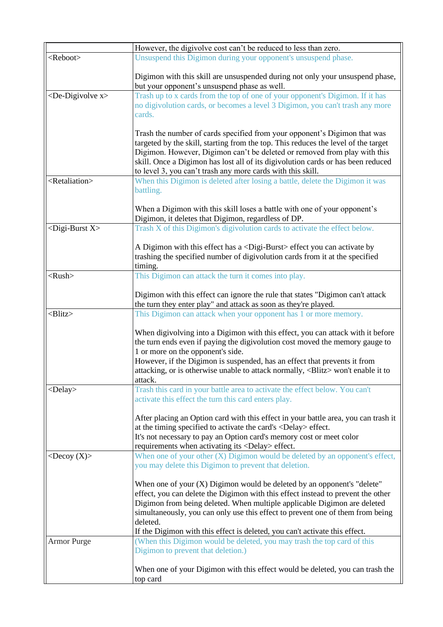|                                                                                      | However, the digivolve cost can't be reduced to less than zero.                                                                                                                                                                                                                                                                                                                                                        |  |
|--------------------------------------------------------------------------------------|------------------------------------------------------------------------------------------------------------------------------------------------------------------------------------------------------------------------------------------------------------------------------------------------------------------------------------------------------------------------------------------------------------------------|--|
| <reboot><br/>Unsuspend this Digimon during your opponent's unsuspend phase.</reboot> |                                                                                                                                                                                                                                                                                                                                                                                                                        |  |
|                                                                                      | Digimon with this skill are unsuspended during not only your unsuspend phase,<br>but your opponent's unsuspend phase as well.                                                                                                                                                                                                                                                                                          |  |
| $\langle$ De-Digivolve x $\rangle$                                                   | Trash up to x cards from the top of one of your opponent's Digimon. If it has<br>no digivolution cards, or becomes a level 3 Digimon, you can't trash any more<br>cards.                                                                                                                                                                                                                                               |  |
|                                                                                      | Trash the number of cards specified from your opponent's Digimon that was<br>targeted by the skill, starting from the top. This reduces the level of the target<br>Digimon. However, Digimon can't be deleted or removed from play with this<br>skill. Once a Digimon has lost all of its digivolution cards or has been reduced<br>to level 3, you can't trash any more cards with this skill.                        |  |
| <retaliation></retaliation>                                                          | When this Digimon is deleted after losing a battle, delete the Digimon it was<br>battling.                                                                                                                                                                                                                                                                                                                             |  |
|                                                                                      | When a Digimon with this skill loses a battle with one of your opponent's<br>Digimon, it deletes that Digimon, regardless of DP.                                                                                                                                                                                                                                                                                       |  |
| $\langle$ Digi-Burst X $\rangle$                                                     | Trash X of this Digimon's digivolution cards to activate the effect below.                                                                                                                                                                                                                                                                                                                                             |  |
|                                                                                      | A Digimon with this effect has a <digi-burst> effect you can activate by<br/>trashing the specified number of digivolution cards from it at the specified<br/>timing.</digi-burst>                                                                                                                                                                                                                                     |  |
| $<$ Rush $>$                                                                         | This Digimon can attack the turn it comes into play.                                                                                                                                                                                                                                                                                                                                                                   |  |
|                                                                                      | Digimon with this effect can ignore the rule that states "Digimon can't attack<br>the turn they enter play" and attack as soon as they're played.                                                                                                                                                                                                                                                                      |  |
| $\langle$ Blitz $>$                                                                  | This Digimon can attack when your opponent has 1 or more memory.                                                                                                                                                                                                                                                                                                                                                       |  |
|                                                                                      | When digivolving into a Digimon with this effect, you can attack with it before<br>the turn ends even if paying the digivolution cost moved the memory gauge to<br>1 or more on the opponent's side.<br>However, if the Digimon is suspended, has an effect that prevents it from<br>attacking, or is otherwise unable to attack normally, <blitz> won't enable it to<br/>attack.</blitz>                              |  |
| $<$ Delay $>$                                                                        | Trash this card in your battle area to activate the effect below. You can't<br>activate this effect the turn this card enters play.                                                                                                                                                                                                                                                                                    |  |
|                                                                                      | After placing an Option card with this effect in your battle area, you can trash it<br>at the timing specified to activate the card's <delay> effect.<br/>It's not necessary to pay an Option card's memory cost or meet color</delay>                                                                                                                                                                                 |  |
|                                                                                      | requirements when activating its <delay> effect.</delay>                                                                                                                                                                                                                                                                                                                                                               |  |
| $\langle$ Decoy $(X)$                                                                | When one of your other $(X)$ Digimon would be deleted by an opponent's effect,<br>you may delete this Digimon to prevent that deletion.                                                                                                                                                                                                                                                                                |  |
|                                                                                      | When one of your $(X)$ Digimon would be deleted by an opponent's "delete"<br>effect, you can delete the Digimon with this effect instead to prevent the other<br>Digimon from being deleted. When multiple applicable Digimon are deleted<br>simultaneously, you can only use this effect to prevent one of them from being<br>deleted.<br>If the Digimon with this effect is deleted, you can't activate this effect. |  |
| <b>Armor Purge</b>                                                                   | (When this Digimon would be deleted, you may trash the top card of this<br>Digimon to prevent that deletion.)                                                                                                                                                                                                                                                                                                          |  |
|                                                                                      | When one of your Digimon with this effect would be deleted, you can trash the<br>top card                                                                                                                                                                                                                                                                                                                              |  |